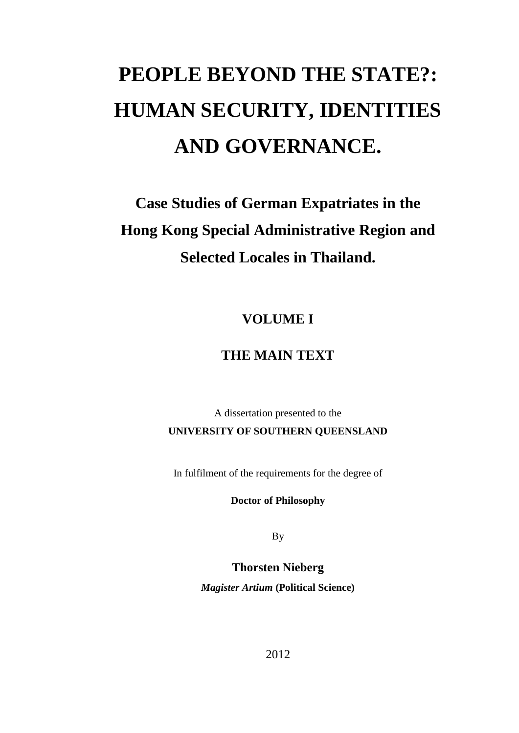# **PEOPLE BEYOND THE STATE?: HUMAN SECURITY, IDENTITIES AND GOVERNANCE.**

**Case Studies of German Expatriates in the Hong Kong Special Administrative Region and Selected Locales in Thailand.**

**VOLUME I**

# **THE MAIN TEXT**

A dissertation presented to the **UNIVERSITY OF SOUTHERN QUEENSLAND**

In fulfilment of the requirements for the degree of

**Doctor of Philosophy**

By

**Thorsten Nieberg**

*Magister Artium* **(Political Science)**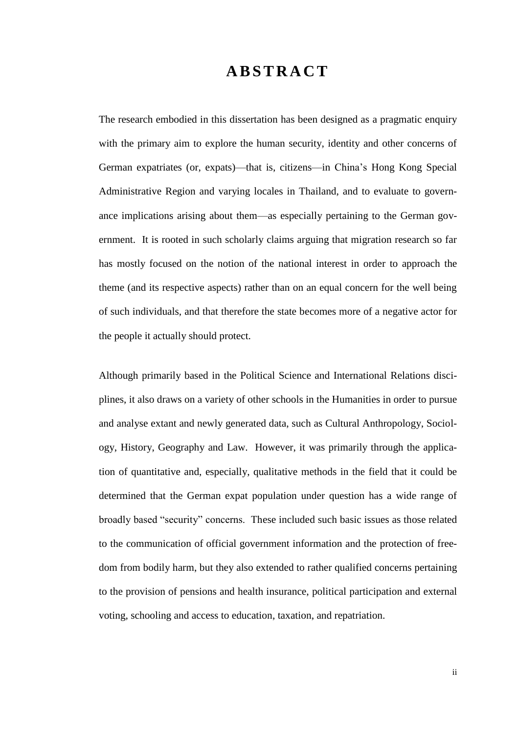# **A B S T R A C T**

The research embodied in this dissertation has been designed as a pragmatic enquiry with the primary aim to explore the human security, identity and other concerns of German expatriates (or, expats)—that is, citizens—in China's Hong Kong Special Administrative Region and varying locales in Thailand, and to evaluate to governance implications arising about them—as especially pertaining to the German government. It is rooted in such scholarly claims arguing that migration research so far has mostly focused on the notion of the national interest in order to approach the theme (and its respective aspects) rather than on an equal concern for the well being of such individuals, and that therefore the state becomes more of a negative actor for the people it actually should protect.

Although primarily based in the Political Science and International Relations disciplines, it also draws on a variety of other schools in the Humanities in order to pursue and analyse extant and newly generated data, such as Cultural Anthropology, Sociology, History, Geography and Law. However, it was primarily through the application of quantitative and, especially, qualitative methods in the field that it could be determined that the German expat population under question has a wide range of broadly based "security" concerns. These included such basic issues as those related to the communication of official government information and the protection of freedom from bodily harm, but they also extended to rather qualified concerns pertaining to the provision of pensions and health insurance, political participation and external voting, schooling and access to education, taxation, and repatriation.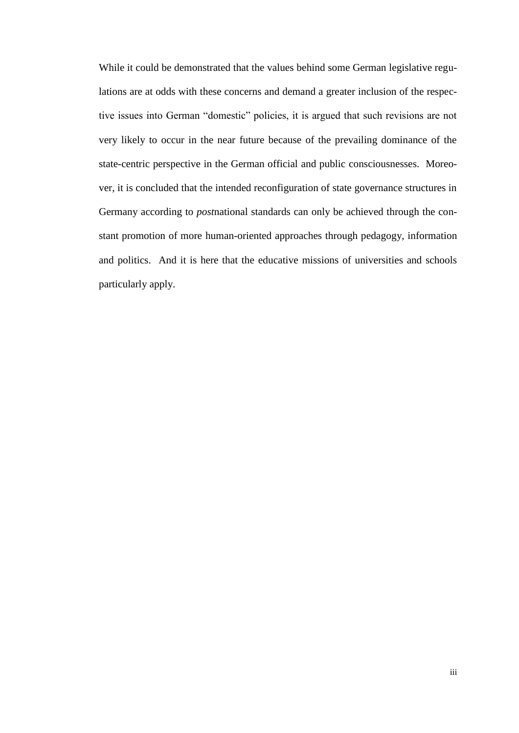While it could be demonstrated that the values behind some German legislative regulations are at odds with these concerns and demand a greater inclusion of the respective issues into German "domestic" policies, it is argued that such revisions are not very likely to occur in the near future because of the prevailing dominance of the state-centric perspective in the German official and public consciousnesses. Moreover, it is concluded that the intended reconfiguration of state governance structures in Germany according to *post*national standards can only be achieved through the constant promotion of more human-oriented approaches through pedagogy, information and politics. And it is here that the educative missions of universities and schools particularly apply.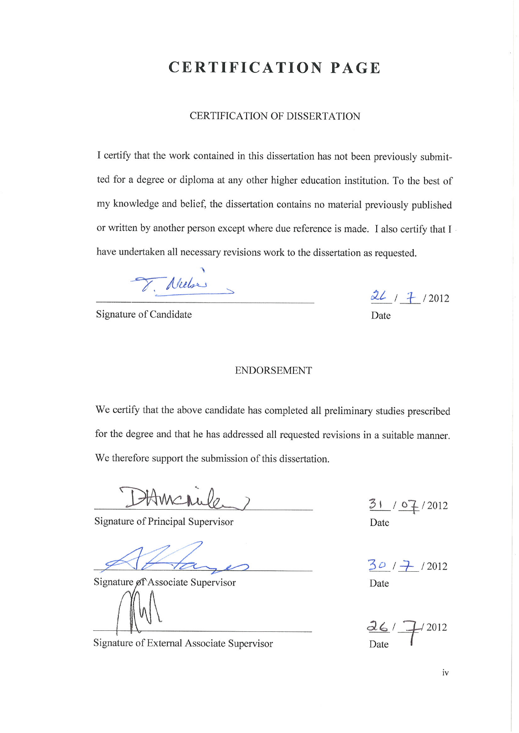# **CERTIFICATION PAGE**

#### CERTIFICATION OF DISSERTATION

I certify that the work contained in this dissertation has not been previously submitted for a degree or diploma at any other higher education institution. To the best of my knowledge and belief, the dissertation contains no material previously published or written by another person except where due reference is made. I also certify that I have undertaken all necessary revisions work to the dissertation as requested.

Nielse

Signature of Candidate

 $26/7/2012$ Date

#### **ENDORSEMENT**

We certify that the above candidate has completed all preliminary studies prescribed for the degree and that he has addressed all requested revisions in a suitable manner. We therefore support the submission of this dissertation.

Hmcrufo.

Signature of Principal Supervisor

Signature of Associate Supervisor

Signature of External Associate Supervisor

 $31 / 07 / 2012$ Date

 $30/7$ /2012 Date

 $42012$  $d6/7$ Date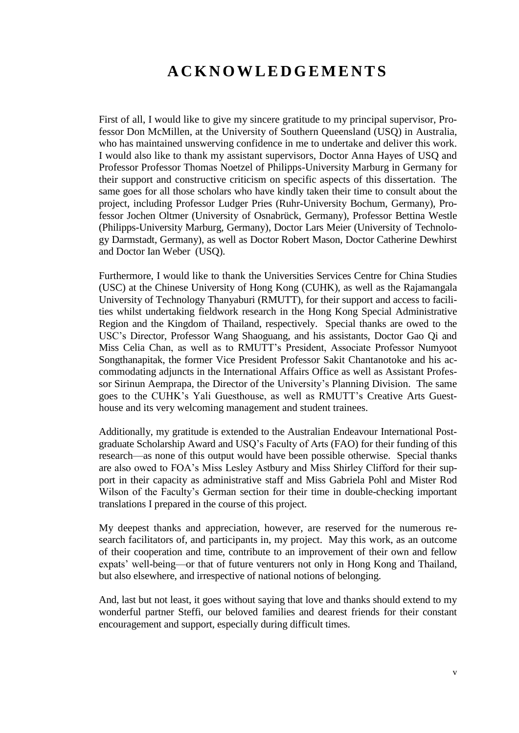# **A C K N O W L E D G E M E N T S**

First of all, I would like to give my sincere gratitude to my principal supervisor, Professor Don McMillen, at the University of Southern Queensland (USQ) in Australia, who has maintained unswerving confidence in me to undertake and deliver this work. I would also like to thank my assistant supervisors, Doctor Anna Hayes of USQ and Professor Professor Thomas Noetzel of Philipps-University Marburg in Germany for their support and constructive criticism on specific aspects of this dissertation. The same goes for all those scholars who have kindly taken their time to consult about the project, including Professor Ludger Pries (Ruhr-University Bochum, Germany), Professor Jochen Oltmer (University of Osnabrück, Germany), Professor Bettina Westle (Philipps-University Marburg, Germany), Doctor Lars Meier (University of Technology Darmstadt, Germany), as well as Doctor Robert Mason, Doctor Catherine Dewhirst and Doctor Ian Weber (USQ).

Furthermore, I would like to thank the Universities Services Centre for China Studies (USC) at the Chinese University of Hong Kong (CUHK), as well as the Rajamangala University of Technology Thanyaburi (RMUTT), for their support and access to facilities whilst undertaking fieldwork research in the Hong Kong Special Administrative Region and the Kingdom of Thailand, respectively. Special thanks are owed to the USC's Director, Professor Wang Shaoguang, and his assistants, Doctor Gao Qi and Miss Celia Chan, as well as to RMUTT's President, Associate Professor Numyoot Songthanapitak, the former Vice President Professor Sakit Chantanotoke and his accommodating adjuncts in the International Affairs Office as well as Assistant Professor Sirinun Aemprapa, the Director of the University's Planning Division. The same goes to the CUHK's Yali Guesthouse, as well as RMUTT's Creative Arts Guesthouse and its very welcoming management and student trainees.

Additionally, my gratitude is extended to the Australian Endeavour International Postgraduate Scholarship Award and USQ's Faculty of Arts (FAO) for their funding of this research—as none of this output would have been possible otherwise. Special thanks are also owed to FOA's Miss Lesley Astbury and Miss Shirley Clifford for their support in their capacity as administrative staff and Miss Gabriela Pohl and Mister Rod Wilson of the Faculty's German section for their time in double-checking important translations I prepared in the course of this project.

My deepest thanks and appreciation, however, are reserved for the numerous research facilitators of, and participants in, my project. May this work, as an outcome of their cooperation and time, contribute to an improvement of their own and fellow expats' well-being—or that of future venturers not only in Hong Kong and Thailand, but also elsewhere, and irrespective of national notions of belonging.

And, last but not least, it goes without saying that love and thanks should extend to my wonderful partner Steffi, our beloved families and dearest friends for their constant encouragement and support, especially during difficult times.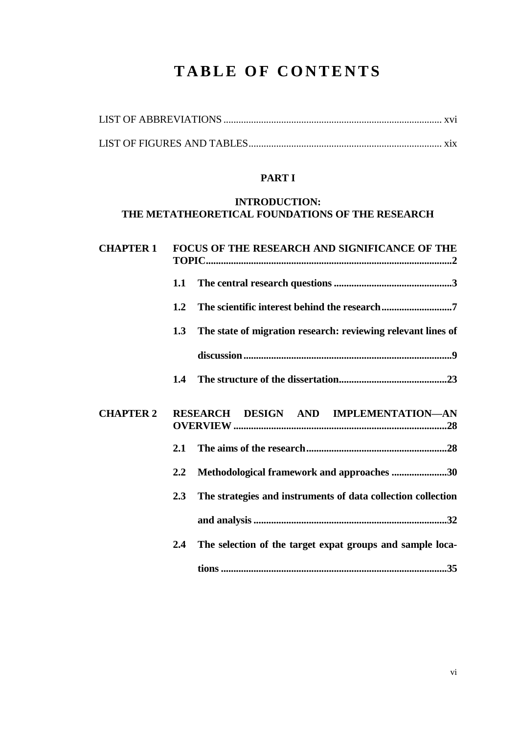# **TABLE OF CONTENTS**

## **PART I**

## **INTRODUCTION: THE METATHEORETICAL FOUNDATIONS OF THE RESEARCH**

| <b>CHAPTER 1</b> |                  | FOCUS OF THE RESEARCH AND SIGNIFICANCE OF THE                |
|------------------|------------------|--------------------------------------------------------------|
|                  | 1.1              |                                                              |
|                  | 1.2              |                                                              |
|                  | 1.3              | The state of migration research: reviewing relevant lines of |
|                  |                  |                                                              |
|                  | 1.4              |                                                              |
| <b>CHAPTER 2</b> |                  | DESIGN AND IMPLEMENTATION-AN<br><b>RESEARCH</b>              |
|                  | 2.1              |                                                              |
|                  | $2.2\phantom{0}$ | Methodological framework and approaches 30                   |
|                  | 2.3              | The strategies and instruments of data collection collection |
|                  |                  |                                                              |
|                  | $2.4\phantom{0}$ | The selection of the target expat groups and sample loca-    |
|                  |                  |                                                              |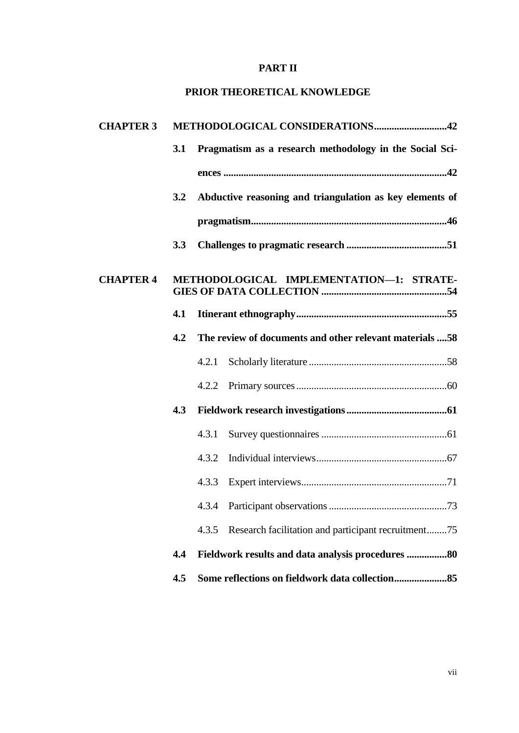## **PART II**

#### **PRIOR THEORETICAL KNOWLEDGE**

| <b>CHAPTER 3</b> |     | METHODOLOGICAL CONSIDERATIONS42                              |  |  |  |  |
|------------------|-----|--------------------------------------------------------------|--|--|--|--|
|                  | 3.1 | Pragmatism as a research methodology in the Social Sci-      |  |  |  |  |
|                  |     |                                                              |  |  |  |  |
|                  | 3.2 | Abductive reasoning and triangulation as key elements of     |  |  |  |  |
|                  |     |                                                              |  |  |  |  |
|                  | 3.3 |                                                              |  |  |  |  |
| <b>CHAPTER 4</b> |     | METHODOLOGICAL IMPLEMENTATION-1: STRATE-                     |  |  |  |  |
|                  | 4.1 |                                                              |  |  |  |  |
|                  | 4.2 | The review of documents and other relevant materials 58      |  |  |  |  |
|                  |     | 4.2.1                                                        |  |  |  |  |
|                  |     | 4.2.2                                                        |  |  |  |  |
|                  | 4.3 |                                                              |  |  |  |  |
|                  |     | 4.3.1                                                        |  |  |  |  |
|                  |     | 4.3.2                                                        |  |  |  |  |
|                  |     | 4.3.3                                                        |  |  |  |  |
|                  |     | 4.3.4                                                        |  |  |  |  |
|                  |     | Research facilitation and participant recruitment75<br>4.3.5 |  |  |  |  |
|                  | 4.4 | Fieldwork results and data analysis procedures 80            |  |  |  |  |
|                  | 4.5 |                                                              |  |  |  |  |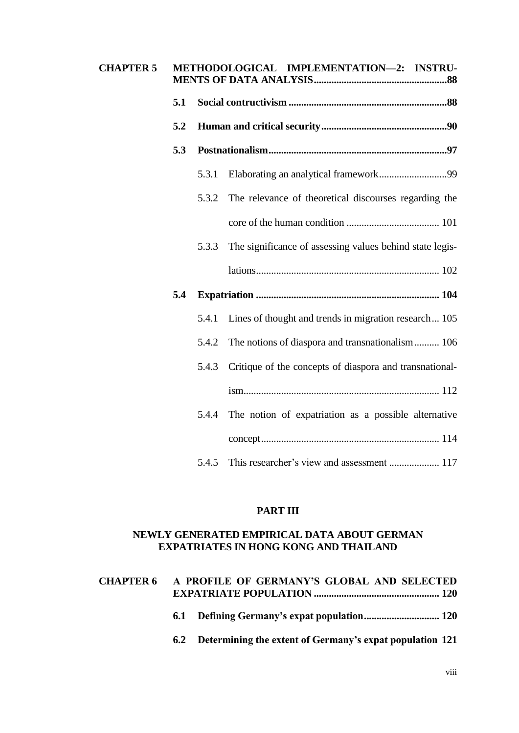| <b>CHAPTER 5</b> |     | METHODOLOGICAL IMPLEMENTATION-2: INSTRU- |                                                          |  |  |
|------------------|-----|------------------------------------------|----------------------------------------------------------|--|--|
|                  | 5.1 |                                          |                                                          |  |  |
|                  | 5.2 |                                          |                                                          |  |  |
|                  | 5.3 |                                          |                                                          |  |  |
|                  |     | 5.3.1                                    |                                                          |  |  |
|                  |     | 5.3.2                                    | The relevance of theoretical discourses regarding the    |  |  |
|                  |     |                                          |                                                          |  |  |
|                  |     | 5.3.3                                    | The significance of assessing values behind state legis- |  |  |
|                  |     |                                          |                                                          |  |  |
|                  | 5.4 |                                          |                                                          |  |  |
|                  |     | 5.4.1                                    | Lines of thought and trends in migration research 105    |  |  |
|                  |     | 5.4.2                                    | The notions of diaspora and transnationalism 106         |  |  |
|                  |     | 5.4.3                                    | Critique of the concepts of diaspora and transnational-  |  |  |
|                  |     |                                          |                                                          |  |  |
|                  |     | 5.4.4                                    | The notion of expatriation as a possible alternative     |  |  |
|                  |     |                                          |                                                          |  |  |
|                  |     | 5.4.5                                    |                                                          |  |  |

# **PART III**

#### **NEWLY GENERATED EMPIRICAL DATA ABOUT GERMAN EXPATRIATES IN HONG KONG AND THAILAND**

| <b>CHAPTER 6</b> | A PROFILE OF GERMANY'S GLOBAL AND SELECTED                   |
|------------------|--------------------------------------------------------------|
|                  |                                                              |
|                  | 6.2 Determining the extent of Germany's expat population 121 |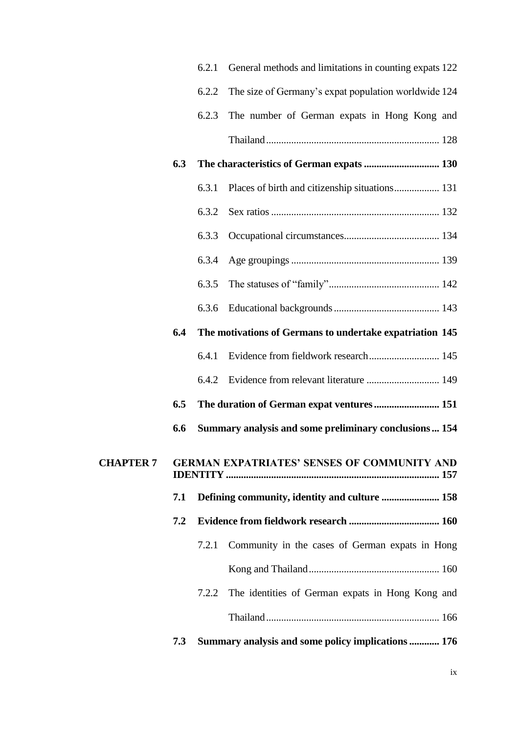|                  |     | 6.2.1 | General methods and limitations in counting expats 122   |
|------------------|-----|-------|----------------------------------------------------------|
|                  |     | 6.2.2 | The size of Germany's expat population worldwide 124     |
|                  |     | 6.2.3 | The number of German expats in Hong Kong and             |
|                  |     |       |                                                          |
|                  | 6.3 |       |                                                          |
|                  |     | 6.3.1 |                                                          |
|                  |     | 6.3.2 |                                                          |
|                  |     | 6.3.3 |                                                          |
|                  |     | 6.3.4 |                                                          |
|                  |     | 6.3.5 |                                                          |
|                  |     | 6.3.6 |                                                          |
|                  | 6.4 |       | The motivations of Germans to undertake expatriation 145 |
|                  |     | 6.4.1 | Evidence from fieldwork research 145                     |
|                  |     | 6.4.2 | Evidence from relevant literature  149                   |
|                  | 6.5 |       |                                                          |
|                  | 6.6 |       | Summary analysis and some preliminary conclusions  154   |
| <b>CHAPTER 7</b> |     |       | <b>GERMAN EXPATRIATES' SENSES OF COMMUNITY AND</b>       |
|                  | 7.1 |       | Defining community, identity and culture  158            |
|                  | 7.2 |       |                                                          |
|                  |     | 7.2.1 | Community in the cases of German expats in Hong          |
|                  |     |       |                                                          |
|                  |     | 7.2.2 | The identities of German expats in Hong Kong and         |
|                  |     |       |                                                          |
|                  | 7.3 |       | Summary analysis and some policy implications  176       |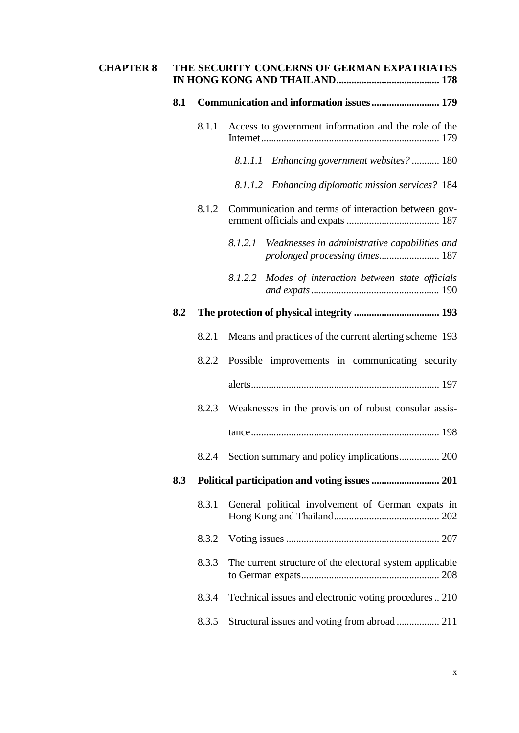| <b>CHAPTER 8</b> |     |       | THE SECURITY CONCERNS OF GERMAN EXPATRIATES              |
|------------------|-----|-------|----------------------------------------------------------|
|                  | 8.1 |       |                                                          |
|                  |     | 8.1.1 | Access to government information and the role of the     |
|                  |     |       | 8.1.1.1 Enhancing government websites?  180              |
|                  |     |       | 8.1.1.2 Enhancing diplomatic mission services? 184       |
|                  |     | 8.1.2 | Communication and terms of interaction between gov-      |
|                  |     |       | Weaknesses in administrative capabilities and<br>8.1.2.1 |
|                  |     |       | 8.1.2.2<br>Modes of interaction between state officials  |
|                  | 8.2 |       |                                                          |
|                  |     | 8.2.1 | Means and practices of the current alerting scheme 193   |
|                  |     | 8.2.2 | Possible improvements in communicating security          |
|                  |     |       |                                                          |
|                  |     | 8.2.3 | Weaknesses in the provision of robust consular assis-    |
|                  |     |       |                                                          |
|                  |     | 8.2.4 | Section summary and policy implications 200              |
|                  | 8.3 |       |                                                          |
|                  |     | 8.3.1 | General political involvement of German expats in        |
|                  |     | 8.3.2 |                                                          |
|                  |     | 8.3.3 | The current structure of the electoral system applicable |
|                  |     | 8.3.4 | Technical issues and electronic voting procedures  210   |
|                  |     | 8.3.5 |                                                          |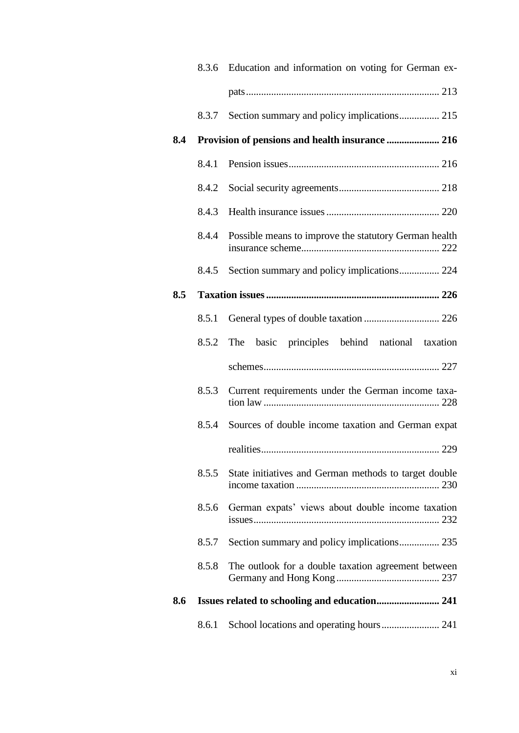|     |       | 8.3.6 Education and information on voting for German ex- |
|-----|-------|----------------------------------------------------------|
|     |       |                                                          |
|     | 8.3.7 |                                                          |
| 8.4 |       |                                                          |
|     | 8.4.1 |                                                          |
|     | 8.4.2 |                                                          |
|     | 8.4.3 |                                                          |
|     | 8.4.4 | Possible means to improve the statutory German health    |
|     | 8.4.5 | Section summary and policy implications 224              |
| 8.5 |       |                                                          |
|     | 8.5.1 |                                                          |
|     | 8.5.2 | The basic principles behind national taxation            |
|     |       |                                                          |
|     | 8.5.3 | Current requirements under the German income taxa-       |
|     | 8.5.4 | Sources of double income taxation and German expat       |
|     |       |                                                          |
|     | 8.5.5 | State initiatives and German methods to target double    |
|     | 8.5.6 | German expats' views about double income taxation        |
|     | 8.5.7 | Section summary and policy implications 235              |
|     | 8.5.8 | The outlook for a double taxation agreement between      |
| 8.6 |       |                                                          |
|     | 8.6.1 |                                                          |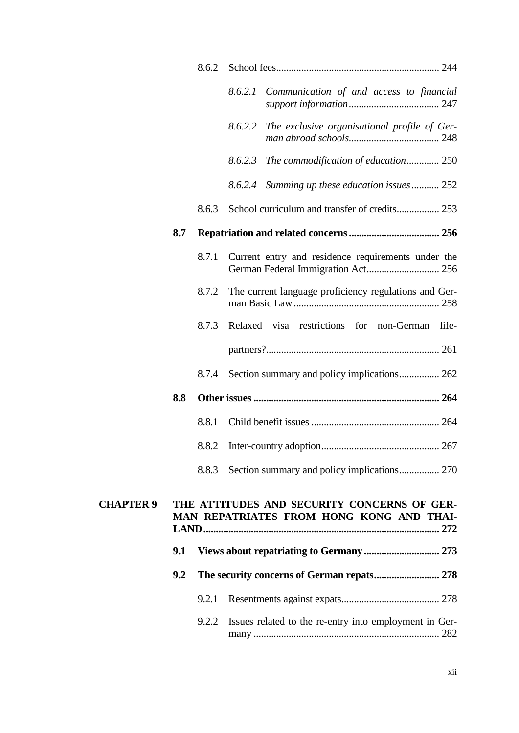|                  |     | 8.6.2 |         |                                                                                         |
|------------------|-----|-------|---------|-----------------------------------------------------------------------------------------|
|                  |     |       | 8.6.2.1 | Communication of and access to financial                                                |
|                  |     |       | 8.6.2.2 | The exclusive organisational profile of Ger-                                            |
|                  |     |       |         | 8.6.2.3 The commodification of education 250                                            |
|                  |     |       | 8.6.2.4 | Summing up these education issues 252                                                   |
|                  |     | 8.6.3 |         |                                                                                         |
|                  | 8.7 |       |         |                                                                                         |
|                  |     | 8.7.1 |         | Current entry and residence requirements under the                                      |
|                  |     | 8.7.2 |         | The current language proficiency regulations and Ger-                                   |
|                  |     | 8.7.3 |         | Relaxed visa restrictions for non-German<br>life-                                       |
|                  |     |       |         |                                                                                         |
|                  |     | 8.7.4 |         | Section summary and policy implications 262                                             |
|                  | 8.8 |       |         |                                                                                         |
|                  |     | 8.8.1 |         |                                                                                         |
|                  |     | 8.8.2 |         |                                                                                         |
|                  |     | 8.8.3 |         |                                                                                         |
| <b>CHAPTER 9</b> |     |       |         | THE ATTITUDES AND SECURITY CONCERNS OF GER-<br>MAN REPATRIATES FROM HONG KONG AND THAI- |
|                  | 9.1 |       |         |                                                                                         |
|                  | 9.2 |       |         |                                                                                         |
|                  |     | 9.2.1 |         |                                                                                         |
|                  |     | 9.2.2 |         | Issues related to the re-entry into employment in Ger-                                  |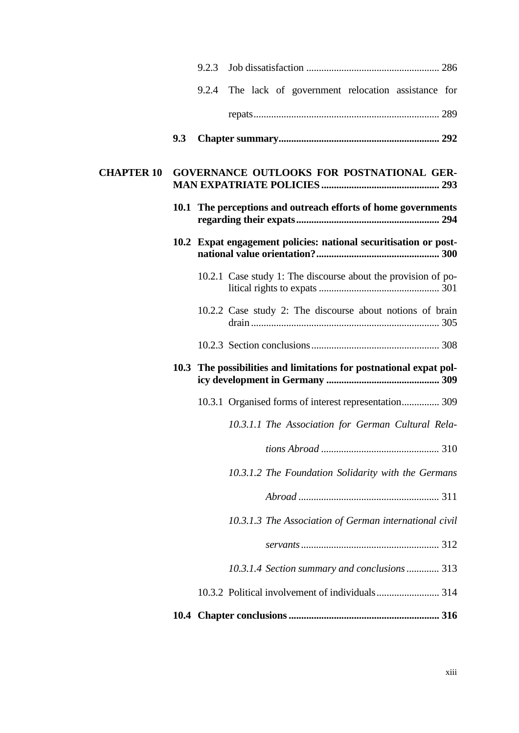|                   |     | 9.2.3 |                                                                    |
|-------------------|-----|-------|--------------------------------------------------------------------|
|                   |     | 9.2.4 | The lack of government relocation assistance for                   |
|                   |     |       |                                                                    |
|                   | 9.3 |       |                                                                    |
| <b>CHAPTER 10</b> |     |       | GOVERNANCE OUTLOOKS FOR POSTNATIONAL GER-                          |
|                   |     |       | 10.1 The perceptions and outreach efforts of home governments      |
|                   |     |       | 10.2 Expat engagement policies: national securitisation or post-   |
|                   |     |       | 10.2.1 Case study 1: The discourse about the provision of po-      |
|                   |     |       | 10.2.2 Case study 2: The discourse about notions of brain          |
|                   |     |       |                                                                    |
|                   |     |       | 10.3 The possibilities and limitations for postnational expat pol- |
|                   |     |       | 10.3.1 Organised forms of interest representation 309              |
|                   |     |       | 10.3.1.1 The Association for German Cultural Rela-                 |
|                   |     |       |                                                                    |
|                   |     |       | 10.3.1.2 The Foundation Solidarity with the Germans                |
|                   |     |       |                                                                    |
|                   |     |       | 10.3.1.3 The Association of German international civil             |
|                   |     |       |                                                                    |
|                   |     |       | 10.3.1.4 Section summary and conclusions 313                       |
|                   |     |       |                                                                    |
|                   |     |       |                                                                    |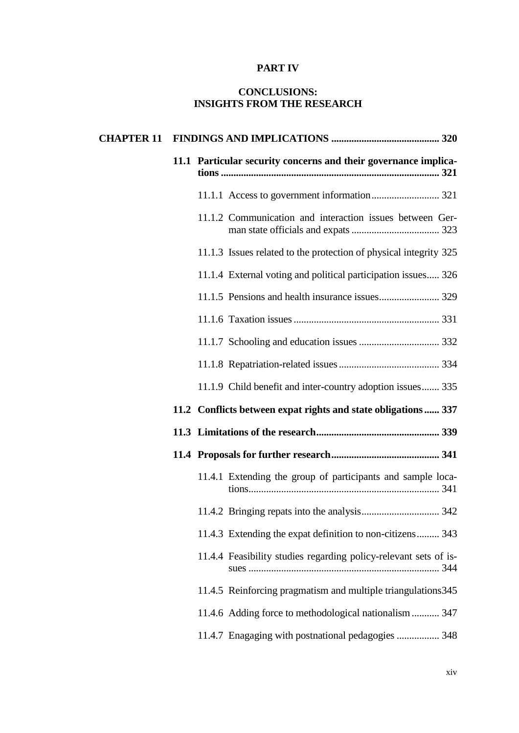#### **PART IV**

## **CONCLUSIONS: INSIGHTS FROM THE RESEARCH**

|  | 11.1 Particular security concerns and their governance implica-   |
|--|-------------------------------------------------------------------|
|  |                                                                   |
|  | 11.1.2 Communication and interaction issues between Ger-          |
|  | 11.1.3 Issues related to the protection of physical integrity 325 |
|  | 11.1.4 External voting and political participation issues 326     |
|  |                                                                   |
|  |                                                                   |
|  |                                                                   |
|  |                                                                   |
|  | 11.1.9 Child benefit and inter-country adoption issues 335        |
|  | 11.2 Conflicts between expat rights and state obligations 337     |
|  |                                                                   |
|  |                                                                   |
|  | 11.4.1 Extending the group of participants and sample loca-       |
|  |                                                                   |
|  | 11.4.3 Extending the expat definition to non-citizens 343         |
|  | 11.4.4 Feasibility studies regarding policy-relevant sets of is-  |
|  | 11.4.5 Reinforcing pragmatism and multiple triangulations 345     |
|  | 11.4.6 Adding force to methodological nationalism  347            |
|  | 11.4.7 Enagaging with postnational pedagogies  348                |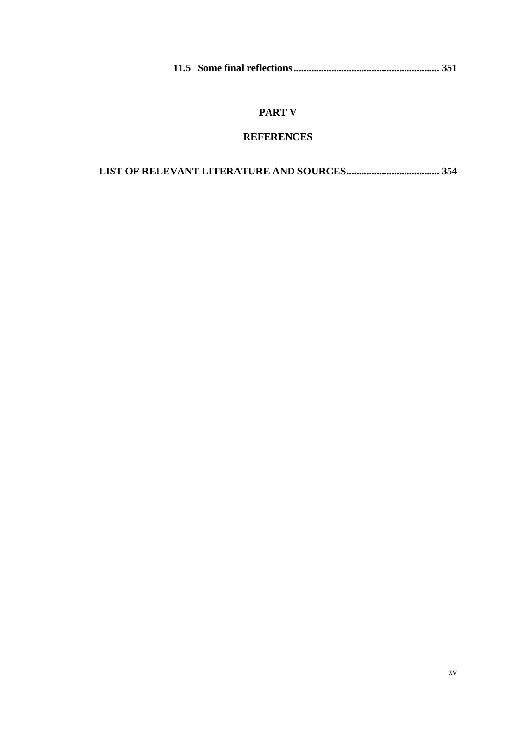|--|--|--|--|

# **PART V**

# **REFERENCES**

|--|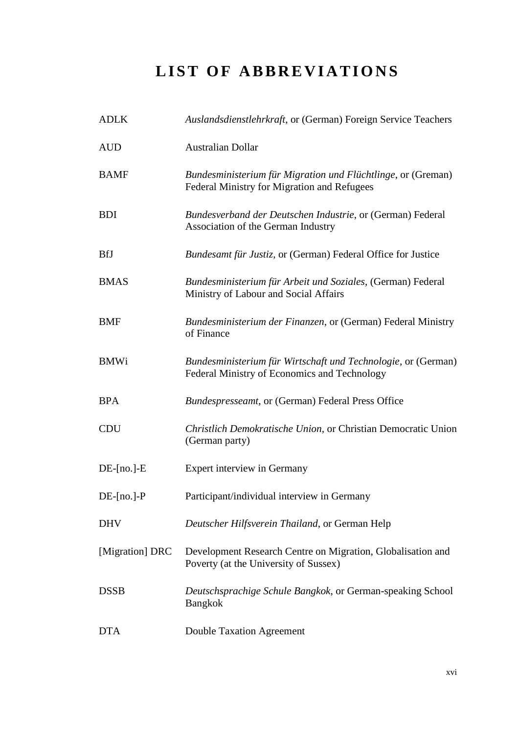# **LIST OF ABBREVIATIONS**

| <b>ADLK</b>      | Auslandsdienstlehrkraft, or (German) Foreign Service Teachers                                                 |
|------------------|---------------------------------------------------------------------------------------------------------------|
| <b>AUD</b>       | <b>Australian Dollar</b>                                                                                      |
| <b>BAMF</b>      | Bundesministerium für Migration und Flüchtlinge, or (Greman)<br>Federal Ministry for Migration and Refugees   |
| <b>BDI</b>       | Bundesverband der Deutschen Industrie, or (German) Federal<br>Association of the German Industry              |
| <b>BfJ</b>       | Bundesamt für Justiz, or (German) Federal Office for Justice                                                  |
| <b>BMAS</b>      | Bundesministerium für Arbeit und Soziales, (German) Federal<br>Ministry of Labour and Social Affairs          |
| <b>BMF</b>       | Bundesministerium der Finanzen, or (German) Federal Ministry<br>of Finance                                    |
| <b>BMWi</b>      | Bundesministerium für Wirtschaft und Technologie, or (German)<br>Federal Ministry of Economics and Technology |
| <b>BPA</b>       | Bundespresseamt, or (German) Federal Press Office                                                             |
| <b>CDU</b>       | Christlich Demokratische Union, or Christian Democratic Union<br>(German party)                               |
| $DE$ -[no.]- $E$ | Expert interview in Germany                                                                                   |
| $DE$ -[no.]-P    | Participant/individual interview in Germany                                                                   |
| <b>DHV</b>       | Deutscher Hilfsverein Thailand, or German Help                                                                |
| [Migration] DRC  | Development Research Centre on Migration, Globalisation and<br>Poverty (at the University of Sussex)          |
| <b>DSSB</b>      | Deutschsprachige Schule Bangkok, or German-speaking School<br><b>Bangkok</b>                                  |
| <b>DTA</b>       | <b>Double Taxation Agreement</b>                                                                              |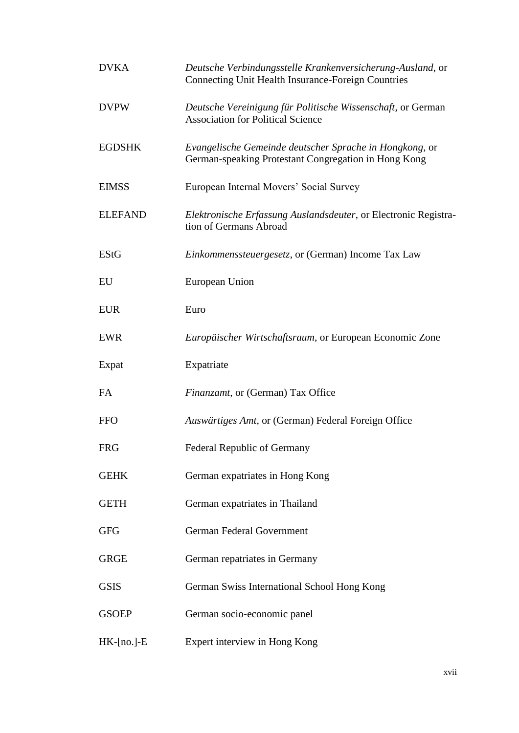| <b>DVKA</b>      | Deutsche Verbindungsstelle Krankenversicherung-Ausland, or<br>Connecting Unit Health Insurance-Foreign Countries |
|------------------|------------------------------------------------------------------------------------------------------------------|
| <b>DVPW</b>      | Deutsche Vereinigung für Politische Wissenschaft, or German<br><b>Association for Political Science</b>          |
| <b>EGDSHK</b>    | Evangelische Gemeinde deutscher Sprache in Hongkong, or<br>German-speaking Protestant Congregation in Hong Kong  |
| <b>EIMSS</b>     | European Internal Movers' Social Survey                                                                          |
| <b>ELEFAND</b>   | Elektronische Erfassung Auslandsdeuter, or Electronic Registra-<br>tion of Germans Abroad                        |
| <b>EStG</b>      | <i>Einkommenssteuergesetz, or (German)</i> Income Tax Law                                                        |
| EU               | European Union                                                                                                   |
| <b>EUR</b>       | Euro                                                                                                             |
| <b>EWR</b>       | Europäischer Wirtschaftsraum, or European Economic Zone                                                          |
| Expat            | Expatriate                                                                                                       |
| FA               | Finanzamt, or (German) Tax Office                                                                                |
| <b>FFO</b>       | Auswärtiges Amt, or (German) Federal Foreign Office                                                              |
| <b>FRG</b>       | <b>Federal Republic of Germany</b>                                                                               |
| <b>GEHK</b>      | German expatriates in Hong Kong                                                                                  |
| <b>GETH</b>      | German expatriates in Thailand                                                                                   |
| <b>GFG</b>       | German Federal Government                                                                                        |
| <b>GRGE</b>      | German repatriates in Germany                                                                                    |
| <b>GSIS</b>      | German Swiss International School Hong Kong                                                                      |
| <b>GSOEP</b>     | German socio-economic panel                                                                                      |
| $HK$ -[no.]- $E$ | Expert interview in Hong Kong                                                                                    |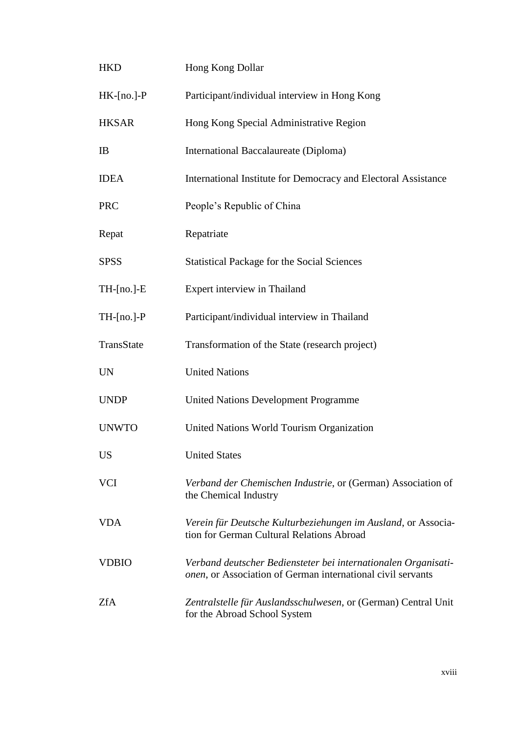| <b>HKD</b>       | Hong Kong Dollar                                                                                                              |
|------------------|-------------------------------------------------------------------------------------------------------------------------------|
| $HK$ -[no.]- $P$ | Participant/individual interview in Hong Kong                                                                                 |
| <b>HKSAR</b>     | Hong Kong Special Administrative Region                                                                                       |
| IB               | International Baccalaureate (Diploma)                                                                                         |
| <b>IDEA</b>      | International Institute for Democracy and Electoral Assistance                                                                |
| <b>PRC</b>       | People's Republic of China                                                                                                    |
| Repat            | Repatriate                                                                                                                    |
| <b>SPSS</b>      | <b>Statistical Package for the Social Sciences</b>                                                                            |
| $TH-[no.]-E$     | Expert interview in Thailand                                                                                                  |
| $TH-[no.]-P$     | Participant/individual interview in Thailand                                                                                  |
| TransState       | Transformation of the State (research project)                                                                                |
| <b>UN</b>        | <b>United Nations</b>                                                                                                         |
| <b>UNDP</b>      | <b>United Nations Development Programme</b>                                                                                   |
| <b>UNWTO</b>     | United Nations World Tourism Organization                                                                                     |
| <b>US</b>        | <b>United States</b>                                                                                                          |
| <b>VCI</b>       | Verband der Chemischen Industrie, or (German) Association of<br>the Chemical Industry                                         |
| <b>VDA</b>       | Verein für Deutsche Kulturbeziehungen im Ausland, or Associa-<br>tion for German Cultural Relations Abroad                    |
| <b>VDBIO</b>     | Verband deutscher Bediensteter bei internationalen Organisati-<br>onen, or Association of German international civil servants |
| <b>ZfA</b>       | Zentralstelle für Auslandsschulwesen, or (German) Central Unit<br>for the Abroad School System                                |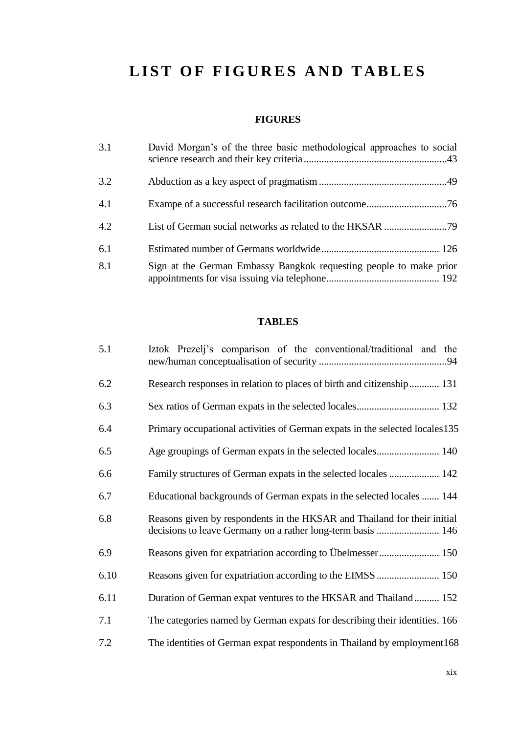# **LIST OF FIGURES AND TABLES**

## **FIGURES**

| 3.1 | David Morgan's of the three basic methodological approaches to social |
|-----|-----------------------------------------------------------------------|
| 3.2 |                                                                       |
| 4.1 |                                                                       |
| 4.2 |                                                                       |
| 6.1 |                                                                       |
| 8.1 | Sign at the German Embassy Bangkok requesting people to make prior    |

# **TABLES**

| 5.1  | Iztok Prezeli's comparison of the conventional/traditional and the                                                                      |
|------|-----------------------------------------------------------------------------------------------------------------------------------------|
| 6.2  | Research responses in relation to places of birth and citizenship 131                                                                   |
| 6.3  |                                                                                                                                         |
| 6.4  | Primary occupational activities of German expats in the selected locales 135                                                            |
| 6.5  |                                                                                                                                         |
| 6.6  | Family structures of German expats in the selected locales  142                                                                         |
| 6.7  | Educational backgrounds of German expats in the selected locales  144                                                                   |
| 6.8  | Reasons given by respondents in the HKSAR and Thailand for their initial<br>decisions to leave Germany on a rather long-term basis  146 |
| 6.9  | Reasons given for expatriation according to Übelmesser 150                                                                              |
| 6.10 |                                                                                                                                         |
| 6.11 | Duration of German expat ventures to the HKSAR and Thailand 152                                                                         |
| 7.1  | The categories named by German expats for describing their identities. 166                                                              |
| 7.2  | The identities of German expat respondents in Thailand by employment168                                                                 |